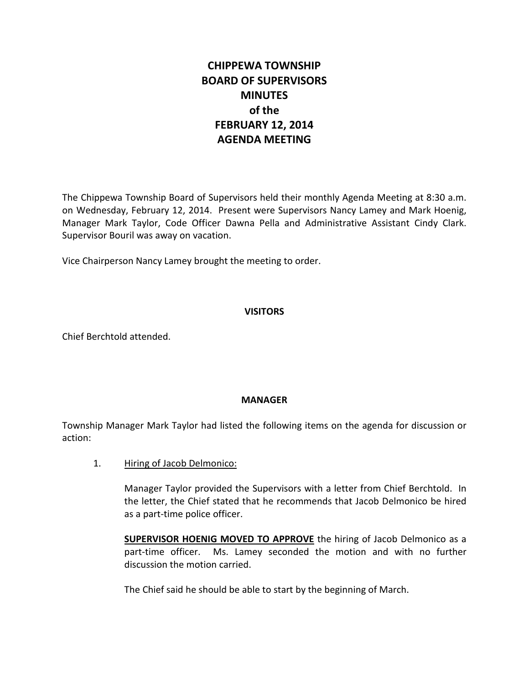# **CHIPPEWA TOWNSHIP BOARD OF SUPERVISORS MINUTES of the FEBRUARY 12, 2014 AGENDA MEETING**

The Chippewa Township Board of Supervisors held their monthly Agenda Meeting at 8:30 a.m. on Wednesday, February 12, 2014. Present were Supervisors Nancy Lamey and Mark Hoenig, Manager Mark Taylor, Code Officer Dawna Pella and Administrative Assistant Cindy Clark. Supervisor Bouril was away on vacation.

Vice Chairperson Nancy Lamey brought the meeting to order.

## **VISITORS**

Chief Berchtold attended.

#### **MANAGER**

Township Manager Mark Taylor had listed the following items on the agenda for discussion or action:

1. Hiring of Jacob Delmonico:

Manager Taylor provided the Supervisors with a letter from Chief Berchtold. In the letter, the Chief stated that he recommends that Jacob Delmonico be hired as a part-time police officer.

**SUPERVISOR HOENIG MOVED TO APPROVE** the hiring of Jacob Delmonico as a part-time officer. Ms. Lamey seconded the motion and with no further discussion the motion carried.

The Chief said he should be able to start by the beginning of March.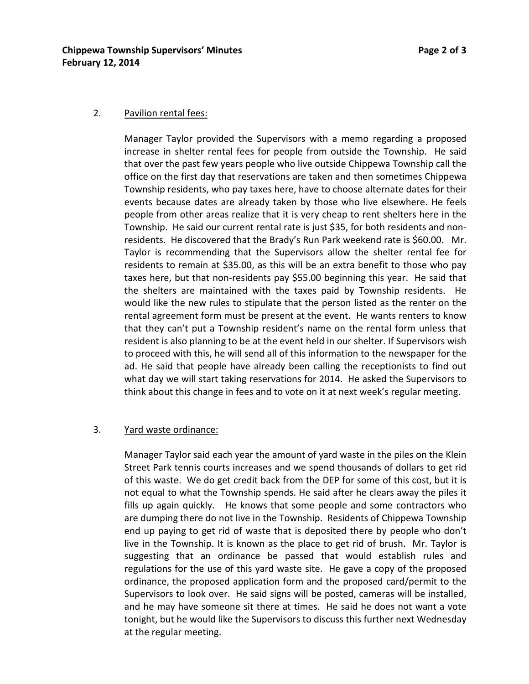#### 2. Pavilion rental fees:

Manager Taylor provided the Supervisors with a memo regarding a proposed increase in shelter rental fees for people from outside the Township. He said that over the past few years people who live outside Chippewa Township call the office on the first day that reservations are taken and then sometimes Chippewa Township residents, who pay taxes here, have to choose alternate dates for their events because dates are already taken by those who live elsewhere. He feels people from other areas realize that it is very cheap to rent shelters here in the Township. He said our current rental rate is just \$35, for both residents and nonresidents. He discovered that the Brady's Run Park weekend rate is \$60.00. Mr. Taylor is recommending that the Supervisors allow the shelter rental fee for residents to remain at \$35.00, as this will be an extra benefit to those who pay taxes here, but that non-residents pay \$55.00 beginning this year. He said that the shelters are maintained with the taxes paid by Township residents. He would like the new rules to stipulate that the person listed as the renter on the rental agreement form must be present at the event. He wants renters to know that they can't put a Township resident's name on the rental form unless that resident is also planning to be at the event held in our shelter. If Supervisors wish to proceed with this, he will send all of this information to the newspaper for the ad. He said that people have already been calling the receptionists to find out what day we will start taking reservations for 2014. He asked the Supervisors to think about this change in fees and to vote on it at next week's regular meeting.

#### 3. Yard waste ordinance:

Manager Taylor said each year the amount of yard waste in the piles on the Klein Street Park tennis courts increases and we spend thousands of dollars to get rid of this waste. We do get credit back from the DEP for some of this cost, but it is not equal to what the Township spends. He said after he clears away the piles it fills up again quickly. He knows that some people and some contractors who are dumping there do not live in the Township. Residents of Chippewa Township end up paying to get rid of waste that is deposited there by people who don't live in the Township. It is known as the place to get rid of brush. Mr. Taylor is suggesting that an ordinance be passed that would establish rules and regulations for the use of this yard waste site. He gave a copy of the proposed ordinance, the proposed application form and the proposed card/permit to the Supervisors to look over. He said signs will be posted, cameras will be installed, and he may have someone sit there at times. He said he does not want a vote tonight, but he would like the Supervisors to discuss this further next Wednesday at the regular meeting.